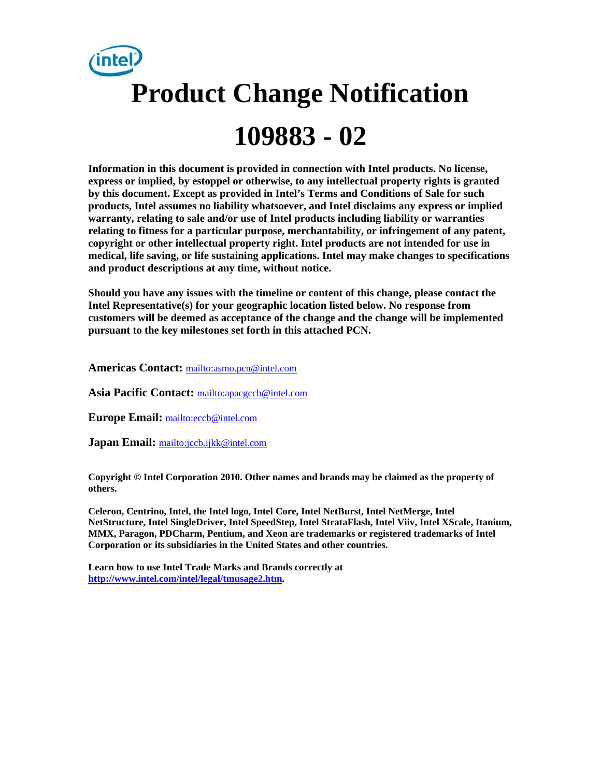

**Information in this document is provided in connection with Intel products. No license, express or implied, by estoppel or otherwise, to any intellectual property rights is granted by this document. Except as provided in Intel's Terms and Conditions of Sale for such products, Intel assumes no liability whatsoever, and Intel disclaims any express or implied warranty, relating to sale and/or use of Intel products including liability or warranties relating to fitness for a particular purpose, merchantability, or infringement of any patent, copyright or other intellectual property right. Intel products are not intended for use in medical, life saving, or life sustaining applications. Intel may make changes to specifications and product descriptions at any time, without notice.** 

**Should you have any issues with the timeline or content of this change, please contact the Intel Representative(s) for your geographic location listed below. No response from customers will be deemed as acceptance of the change and the change will be implemented pursuant to the key milestones set forth in this attached PCN.** 

**Americas Contact:** <mailto:asmo.pcn@intel.com>

**Asia Pacific Contact:** <mailto:apacgccb@intel.com>

**Europe Email:** <mailto:eccb@intel.com>

**Japan Email:** <mailto:jccb.ijkk@intel.com>

**Copyright © Intel Corporation 2010. Other names and brands may be claimed as the property of others.**

**Celeron, Centrino, Intel, the Intel logo, Intel Core, Intel NetBurst, Intel NetMerge, Intel NetStructure, Intel SingleDriver, Intel SpeedStep, Intel StrataFlash, Intel Viiv, Intel XScale, Itanium, MMX, Paragon, PDCharm, Pentium, and Xeon are trademarks or registered trademarks of Intel Corporation or its subsidiaries in the United States and other countries.** 

**Learn how to use Intel Trade Marks and Brands correctly at [http://www.intel.com/intel/legal/tmusage2.htm.](http://www.intel.com/intel/legal/tmusage2.htm)**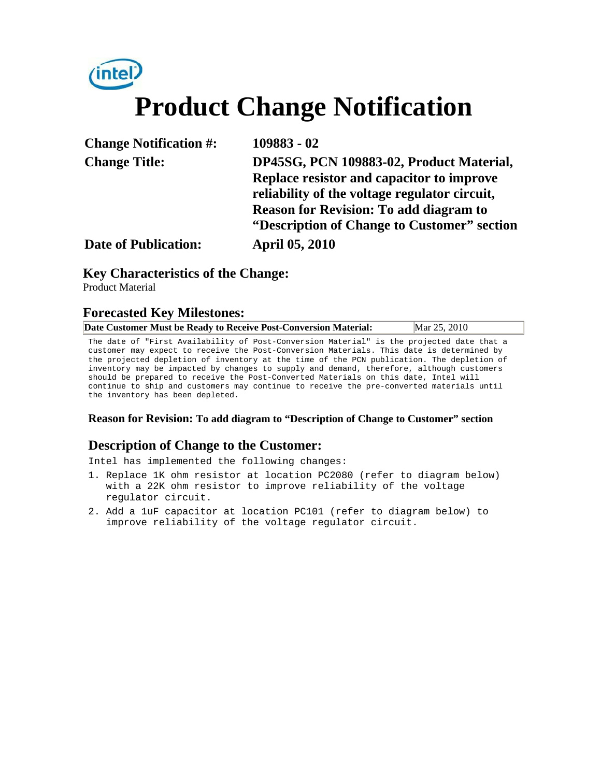# *(intel)* **Product Change Notification**

| <b>Change Notification #:</b> | 109883 - 02                                                                                |
|-------------------------------|--------------------------------------------------------------------------------------------|
| <b>Change Title:</b>          | DP45SG, PCN 109883-02, Product Material,                                                   |
|                               | Replace resistor and capacitor to improve<br>reliability of the voltage regulator circuit, |
|                               | <b>Reason for Revision: To add diagram to</b>                                              |
|                               | "Description of Change to Customer" section                                                |
| <b>Date of Publication:</b>   | <b>April 05, 2010</b>                                                                      |

#### **Key Characteristics of the Change:**

Product Material

#### **Forecasted Key Milestones:**

| Date Customer Must be Ready to Receive Post-Conversion Material: |  |  |  | Mar 25, 2010 |  |
|------------------------------------------------------------------|--|--|--|--------------|--|
|                                                                  |  |  |  |              |  |

The date of "First Availability of Post-Conversion Material" is the projected date that a customer may expect to receive the Post-Conversion Materials. This date is determined by the projected depletion of inventory at the time of the PCN publication. The depletion of inventory may be impacted by changes to supply and demand, therefore, although customers should be prepared to receive the Post-Converted Materials on this date, Intel will continue to ship and customers may continue to receive the pre-converted materials until the inventory has been depleted.

#### **Reason for Revision: To add diagram to "Description of Change to Customer" section**

#### **Description of Change to the Customer:**

Intel has implemented the following changes:

- 1. Replace 1K ohm resistor at location PC2080 (refer to diagram below) with a 22K ohm resistor to improve reliability of the voltage regulator circuit.
- 2. Add a 1uF capacitor at location PC101 (refer to diagram below) to improve reliability of the voltage regulator circuit.